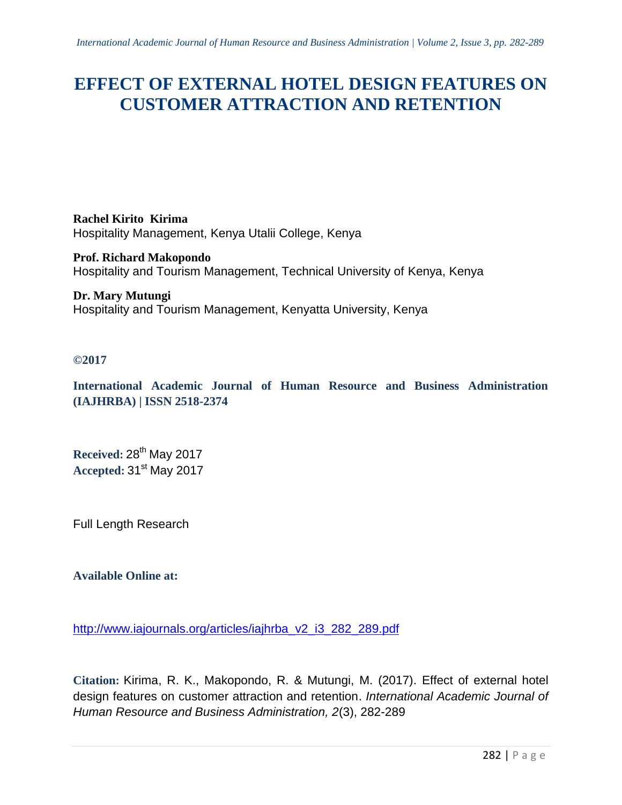# **EFFECT OF EXTERNAL HOTEL DESIGN FEATURES ON CUSTOMER ATTRACTION AND RETENTION**

**Rachel Kirito Kirima** Hospitality Management, Kenya Utalii College, Kenya

**Prof. Richard Makopondo** Hospitality and Tourism Management, Technical University of Kenya, Kenya

**Dr. Mary Mutungi** Hospitality and Tourism Management, Kenyatta University, Kenya

# **©2017**

**International Academic Journal of Human Resource and Business Administration (IAJHRBA) | ISSN 2518-2374**

**Received:** 28 th May 2017 **Accepted:** 31st May 2017

Full Length Research

## **Available Online at:**

[http://www.iajournals.org/articles/iajhrba\\_v2\\_i3\\_282\\_289.pdf](http://www.iajournals.org/articles/iajhrba_v2_i3_282_289.pdf)

**Citation:** Kirima, R. K., Makopondo, R. & Mutungi, M. (2017). Effect of external hotel design features on customer attraction and retention. *International Academic Journal of Human Resource and Business Administration, 2*(3), 282-289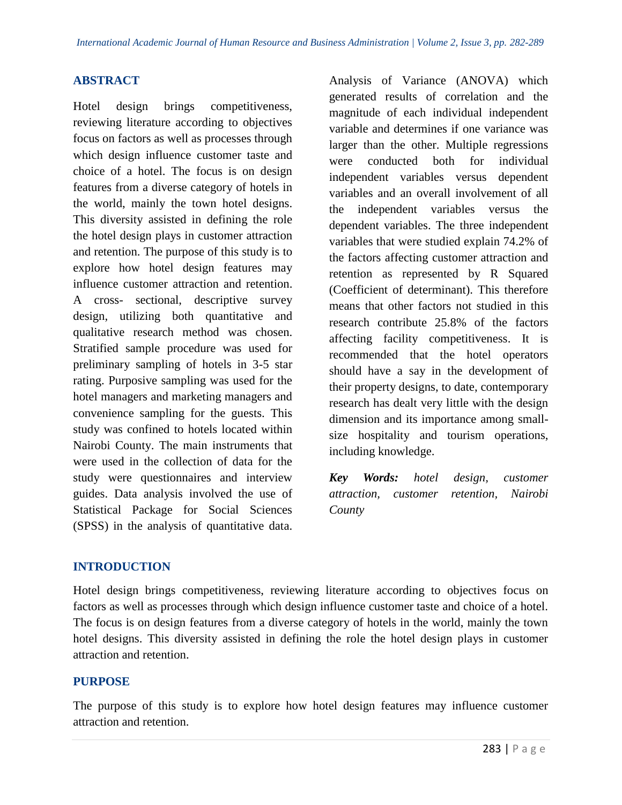# **ABSTRACT**

Hotel design brings competitiveness, reviewing literature according to objectives focus on factors as well as processes through which design influence customer taste and choice of a hotel. The focus is on design features from a diverse category of hotels in the world, mainly the town hotel designs. This diversity assisted in defining the role the hotel design plays in customer attraction and retention. The purpose of this study is to explore how hotel design features may influence customer attraction and retention. A cross- sectional, descriptive survey design, utilizing both quantitative and qualitative research method was chosen. Stratified sample procedure was used for preliminary sampling of hotels in 3-5 star rating. Purposive sampling was used for the hotel managers and marketing managers and convenience sampling for the guests. This study was confined to hotels located within Nairobi County. The main instruments that were used in the collection of data for the study were questionnaires and interview guides. Data analysis involved the use of Statistical Package for Social Sciences (SPSS) in the analysis of quantitative data.

Analysis of Variance (ANOVA) which generated results of correlation and the magnitude of each individual independent variable and determines if one variance was larger than the other. Multiple regressions were conducted both for individual independent variables versus dependent variables and an overall involvement of all the independent variables versus the dependent variables. The three independent variables that were studied explain 74.2% of the factors affecting customer attraction and retention as represented by R Squared (Coefficient of determinant). This therefore means that other factors not studied in this research contribute 25.8% of the factors affecting facility competitiveness. It is recommended that the hotel operators should have a say in the development of their property designs, to date, contemporary research has dealt very little with the design dimension and its importance among smallsize hospitality and tourism operations, including knowledge.

*Key Words: hotel design, customer attraction, customer retention, Nairobi County*

## **INTRODUCTION**

Hotel design brings competitiveness, reviewing literature according to objectives focus on factors as well as processes through which design influence customer taste and choice of a hotel. The focus is on design features from a diverse category of hotels in the world, mainly the town hotel designs. This diversity assisted in defining the role the hotel design plays in customer attraction and retention.

#### **PURPOSE**

The purpose of this study is to explore how hotel design features may influence customer attraction and retention.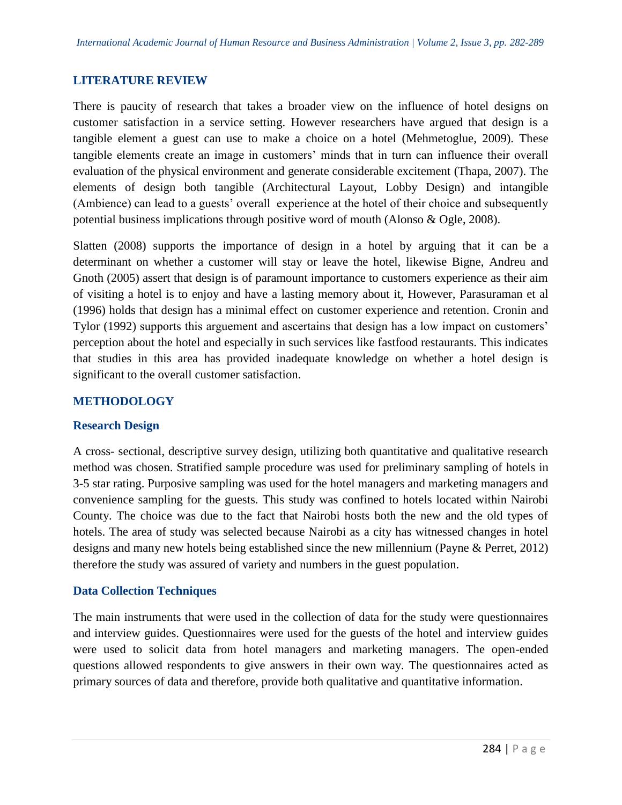## **LITERATURE REVIEW**

There is paucity of research that takes a broader view on the influence of hotel designs on customer satisfaction in a service setting. However researchers have argued that design is a tangible element a guest can use to make a choice on a hotel (Mehmetoglue, 2009). These tangible elements create an image in customers' minds that in turn can influence their overall evaluation of the physical environment and generate considerable excitement (Thapa, 2007). The elements of design both tangible (Architectural Layout, Lobby Design) and intangible (Ambience) can lead to a guests' overall experience at the hotel of their choice and subsequently potential business implications through positive word of mouth (Alonso & Ogle, 2008).

Slatten (2008) supports the importance of design in a hotel by arguing that it can be a determinant on whether a customer will stay or leave the hotel, likewise Bigne, Andreu and Gnoth (2005) assert that design is of paramount importance to customers experience as their aim of visiting a hotel is to enjoy and have a lasting memory about it, However, Parasuraman et al (1996) holds that design has a minimal effect on customer experience and retention. Cronin and Tylor (1992) supports this arguement and ascertains that design has a low impact on customers' perception about the hotel and especially in such services like fastfood restaurants. This indicates that studies in this area has provided inadequate knowledge on whether a hotel design is significant to the overall customer satisfaction.

## **METHODOLOGY**

#### **Research Design**

A cross- sectional, descriptive survey design, utilizing both quantitative and qualitative research method was chosen. Stratified sample procedure was used for preliminary sampling of hotels in 3-5 star rating. Purposive sampling was used for the hotel managers and marketing managers and convenience sampling for the guests. This study was confined to hotels located within Nairobi County. The choice was due to the fact that Nairobi hosts both the new and the old types of hotels. The area of study was selected because Nairobi as a city has witnessed changes in hotel designs and many new hotels being established since the new millennium (Payne & Perret, 2012) therefore the study was assured of variety and numbers in the guest population.

#### **Data Collection Techniques**

The main instruments that were used in the collection of data for the study were questionnaires and interview guides. Questionnaires were used for the guests of the hotel and interview guides were used to solicit data from hotel managers and marketing managers. The open-ended questions allowed respondents to give answers in their own way. The questionnaires acted as primary sources of data and therefore, provide both qualitative and quantitative information.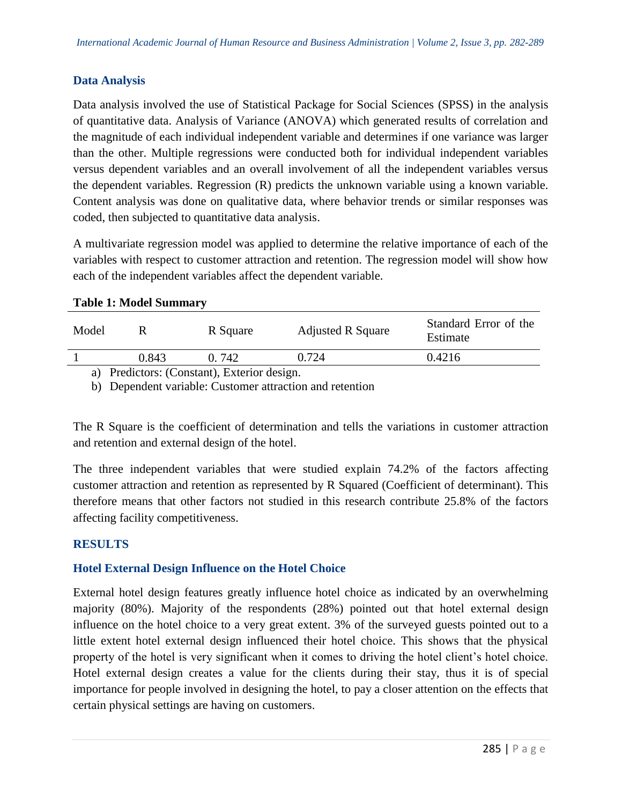# **Data Analysis**

Data analysis involved the use of Statistical Package for Social Sciences (SPSS) in the analysis of quantitative data. Analysis of Variance (ANOVA) which generated results of correlation and the magnitude of each individual independent variable and determines if one variance was larger than the other. Multiple regressions were conducted both for individual independent variables versus dependent variables and an overall involvement of all the independent variables versus the dependent variables. Regression (R) predicts the unknown variable using a known variable. Content analysis was done on qualitative data, where behavior trends or similar responses was coded, then subjected to quantitative data analysis.

A multivariate regression model was applied to determine the relative importance of each of the variables with respect to customer attraction and retention. The regression model will show how each of the independent variables affect the dependent variable.

| Model                                     |       | R Square | <b>Adjusted R Square</b> | Standard Error of the<br>Estimate |  |  |
|-------------------------------------------|-------|----------|--------------------------|-----------------------------------|--|--|
|                                           | 0.843 | 0.742    | 0.724                    | 0.4216                            |  |  |
| a) Predictors: (Constant) Exterior design |       |          |                          |                                   |  |  |

## **Table 1: Model Summary**

a) Predictors: (Constant), Exterior design.

b) Dependent variable: Customer attraction and retention

The R Square is the coefficient of determination and tells the variations in customer attraction and retention and external design of the hotel.

The three independent variables that were studied explain 74.2% of the factors affecting customer attraction and retention as represented by R Squared (Coefficient of determinant). This therefore means that other factors not studied in this research contribute 25.8% of the factors affecting facility competitiveness.

## **RESULTS**

## **Hotel External Design Influence on the Hotel Choice**

External hotel design features greatly influence hotel choice as indicated by an overwhelming majority (80%). Majority of the respondents (28%) pointed out that hotel external design influence on the hotel choice to a very great extent. 3% of the surveyed guests pointed out to a little extent hotel external design influenced their hotel choice. This shows that the physical property of the hotel is very significant when it comes to driving the hotel client's hotel choice. Hotel external design creates a value for the clients during their stay, thus it is of special importance for people involved in designing the hotel, to pay a closer attention on the effects that certain physical settings are having on customers.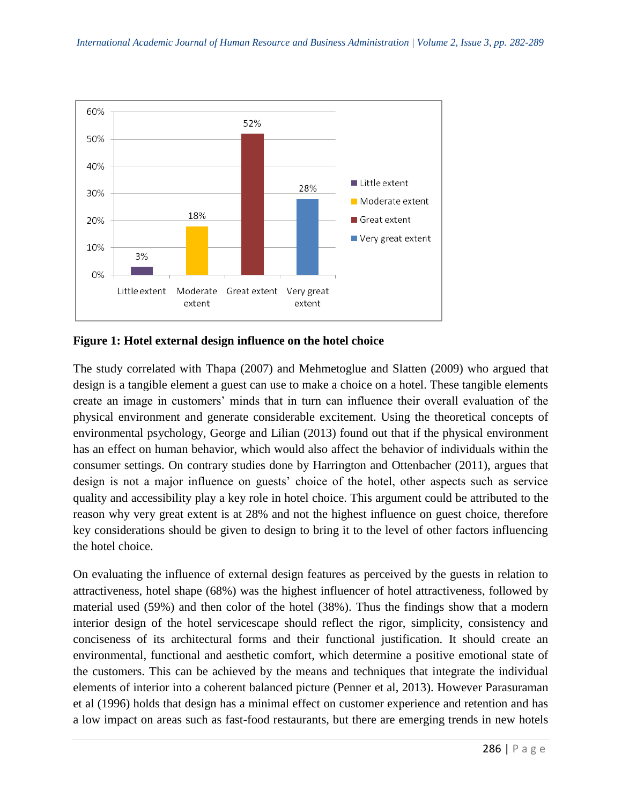

**Figure 1: Hotel external design influence on the hotel choice**

The study correlated with Thapa (2007) and Mehmetoglue and Slatten (2009) who argued that design is a tangible element a guest can use to make a choice on a hotel. These tangible elements create an image in customers' minds that in turn can influence their overall evaluation of the physical environment and generate considerable excitement. Using the theoretical concepts of environmental psychology, George and Lilian (2013) found out that if the physical environment has an effect on human behavior, which would also affect the behavior of individuals within the consumer settings. On contrary studies done by Harrington and Ottenbacher (2011), argues that design is not a major influence on guests' choice of the hotel, other aspects such as service quality and accessibility play a key role in hotel choice. This argument could be attributed to the reason why very great extent is at 28% and not the highest influence on guest choice, therefore key considerations should be given to design to bring it to the level of other factors influencing the hotel choice.

On evaluating the influence of external design features as perceived by the guests in relation to attractiveness, hotel shape (68%) was the highest influencer of hotel attractiveness, followed by material used (59%) and then color of the hotel (38%). Thus the findings show that a modern interior design of the hotel servicescape should reflect the rigor, simplicity, consistency and conciseness of its architectural forms and their functional justification. It should create an environmental, functional and aesthetic comfort, which determine a positive emotional state of the customers. This can be achieved by the means and techniques that integrate the individual elements of interior into a coherent balanced picture (Penner et al, 2013). However Parasuraman et al (1996) holds that design has a minimal effect on customer experience and retention and has a low impact on areas such as fast-food restaurants, but there are emerging trends in new hotels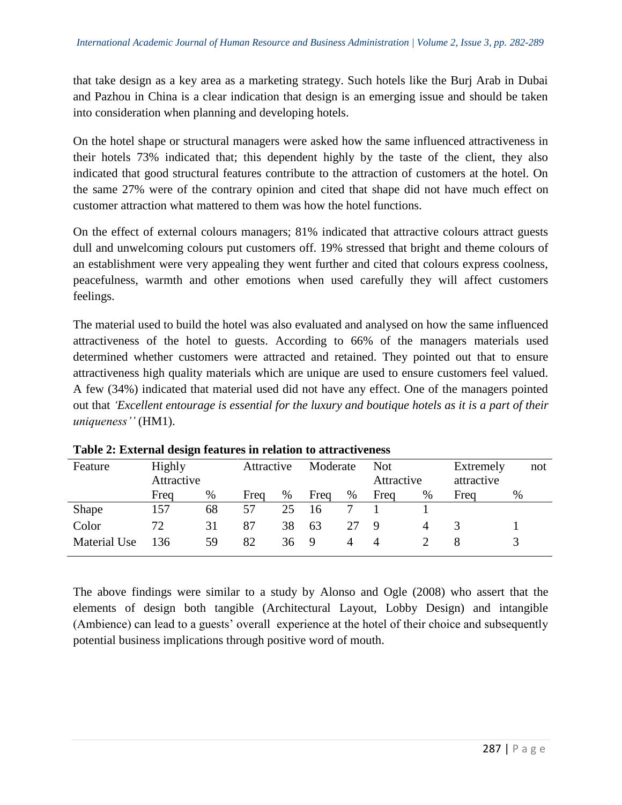that take design as a key area as a marketing strategy. Such hotels like the Burj Arab in Dubai and Pazhou in China is a clear indication that design is an emerging issue and should be taken into consideration when planning and developing hotels.

On the hotel shape or structural managers were asked how the same influenced attractiveness in their hotels 73% indicated that; this dependent highly by the taste of the client, they also indicated that good structural features contribute to the attraction of customers at the hotel. On the same 27% were of the contrary opinion and cited that shape did not have much effect on customer attraction what mattered to them was how the hotel functions.

On the effect of external colours managers; 81% indicated that attractive colours attract guests dull and unwelcoming colours put customers off. 19% stressed that bright and theme colours of an establishment were very appealing they went further and cited that colours express coolness, peacefulness, warmth and other emotions when used carefully they will affect customers feelings.

The material used to build the hotel was also evaluated and analysed on how the same influenced attractiveness of the hotel to guests. According to 66% of the managers materials used determined whether customers were attracted and retained. They pointed out that to ensure attractiveness high quality materials which are unique are used to ensure customers feel valued. A few (34%) indicated that material used did not have any effect. One of the managers pointed out that *'Excellent entourage is essential for the luxury and boutique hotels as it is a part of their uniqueness''* (HM1).

| Feature      | Highly<br>Attractive |    | Attractive |      | Moderate |    | <b>Not</b><br>Attractive |   | Extremely<br>attractive |   | not |
|--------------|----------------------|----|------------|------|----------|----|--------------------------|---|-------------------------|---|-----|
|              | Freq                 | %  | Freq       | $\%$ | Freq     | %  | Freq                     | % | Freq                    | % |     |
| Shape        | 157                  | 68 | 57         | 25   | 16       |    |                          |   |                         |   |     |
| Color        | 72                   | 31 | 87         | 38   | 63       | 27 | 9                        | 4 |                         |   |     |
| Material Use | 136                  | 59 | 82         | 36   | 9        | 4  | $\Delta$                 |   |                         |   |     |

**Table 2: External design features in relation to attractiveness**

The above findings were similar to a study by Alonso and Ogle (2008) who assert that the elements of design both tangible (Architectural Layout, Lobby Design) and intangible (Ambience) can lead to a guests' overall experience at the hotel of their choice and subsequently potential business implications through positive word of mouth.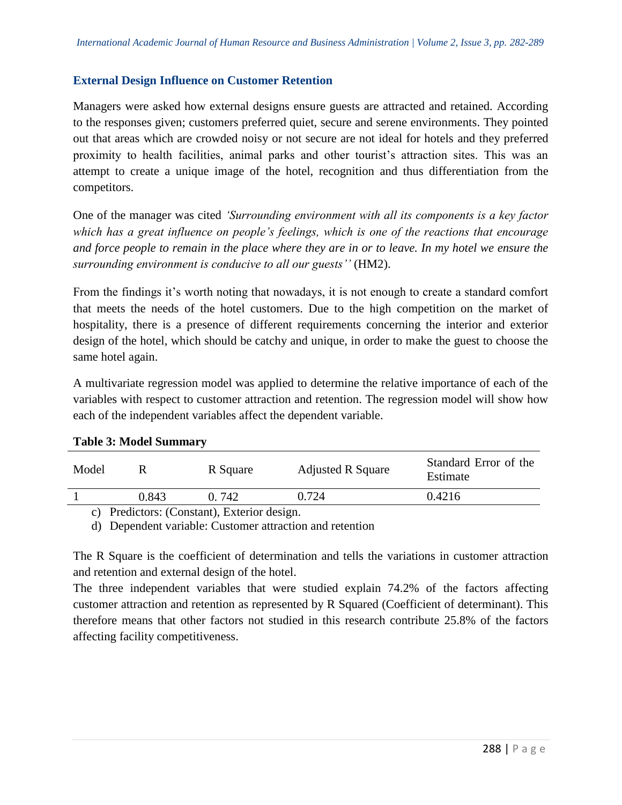## **External Design Influence on Customer Retention**

Managers were asked how external designs ensure guests are attracted and retained. According to the responses given; customers preferred quiet, secure and serene environments. They pointed out that areas which are crowded noisy or not secure are not ideal for hotels and they preferred proximity to health facilities, animal parks and other tourist's attraction sites. This was an attempt to create a unique image of the hotel, recognition and thus differentiation from the competitors.

One of the manager was cited *'Surrounding environment with all its components is a key factor which has a great influence on people's feelings, which is one of the reactions that encourage and force people to remain in the place where they are in or to leave. In my hotel we ensure the surrounding environment is conducive to all our guests''* (HM2).

From the findings it's worth noting that nowadays, it is not enough to create a standard comfort that meets the needs of the hotel customers. Due to the high competition on the market of hospitality, there is a presence of different requirements concerning the interior and exterior design of the hotel, which should be catchy and unique, in order to make the guest to choose the same hotel again.

A multivariate regression model was applied to determine the relative importance of each of the variables with respect to customer attraction and retention. The regression model will show how each of the independent variables affect the dependent variable.

| Model                                                                               |       | R Square | <b>Adjusted R Square</b> | Standard Error of the<br>Estimate |  |  |
|-------------------------------------------------------------------------------------|-------|----------|--------------------------|-----------------------------------|--|--|
|                                                                                     | 0.843 | 0. 742   | 0.724                    | 0.4216                            |  |  |
| $\mathcal{L}$ D <sub>r</sub> , 1, $\mathcal{L}$ Dr, $\mathcal{L}$ and $\mathcal{L}$ |       |          |                          |                                   |  |  |

#### **Table 3: Model Summary**

c) Predictors: (Constant), Exterior design.

d) Dependent variable: Customer attraction and retention

The R Square is the coefficient of determination and tells the variations in customer attraction and retention and external design of the hotel.

The three independent variables that were studied explain 74.2% of the factors affecting customer attraction and retention as represented by R Squared (Coefficient of determinant). This therefore means that other factors not studied in this research contribute 25.8% of the factors affecting facility competitiveness.